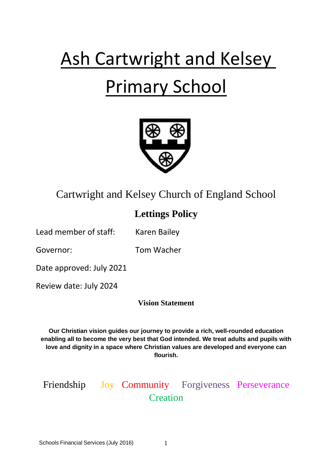# Ash Cartwright and Kelsey Primary School



# Cartwright and Kelsey Church of England School

## **Lettings Policy**

Lead member of staff: Karen Bailey

Governor: Tom Wacher

Date approved: July 2021

Review date: July 2024

## **Vision Statement**

**Our Christian vision guides our journey to provide a rich, well-rounded education enabling all to become the very best that God intended. We treat adults and pupils with love and dignity in a space where Christian values are developed and everyone can flourish.**

Friendship Joy Community Forgiveness Perseverance **Creation**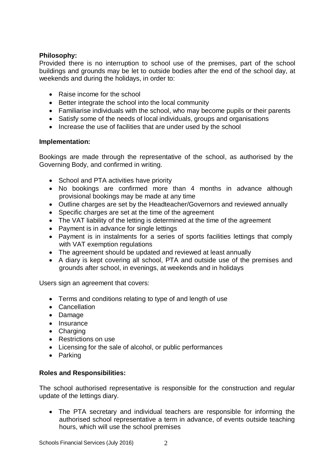### **Philosophy:**

Provided there is no interruption to school use of the premises, part of the school buildings and grounds may be let to outside bodies after the end of the school day, at weekends and during the holidays, in order to:

- Raise income for the school
- Better integrate the school into the local community
- Familiarise individuals with the school, who may become pupils or their parents
- Satisfy some of the needs of local individuals, groups and organisations
- Increase the use of facilities that are under used by the school

#### **Implementation:**

Bookings are made through the representative of the school, as authorised by the Governing Body, and confirmed in writing.

- School and PTA activities have priority
- No bookings are confirmed more than 4 months in advance although provisional bookings may be made at any time
- Outline charges are set by the Headteacher/Governors and reviewed annually
- Specific charges are set at the time of the agreement
- The VAT liability of the letting is determined at the time of the agreement
- Payment is in advance for single lettings
- Payment is in instalments for a series of sports facilities lettings that comply with VAT exemption regulations
- The agreement should be updated and reviewed at least annually
- A diary is kept covering all school, PTA and outside use of the premises and grounds after school, in evenings, at weekends and in holidays

Users sign an agreement that covers:

- Terms and conditions relating to type of and length of use
- Cancellation
- Damage
- Insurance
- Charging
- Restrictions on use
- Licensing for the sale of alcohol, or public performances
- Parking

#### **Roles and Responsibilities:**

The school authorised representative is responsible for the construction and regular update of the lettings diary.

 The PTA secretary and individual teachers are responsible for informing the authorised school representative a term in advance, of events outside teaching hours, which will use the school premises